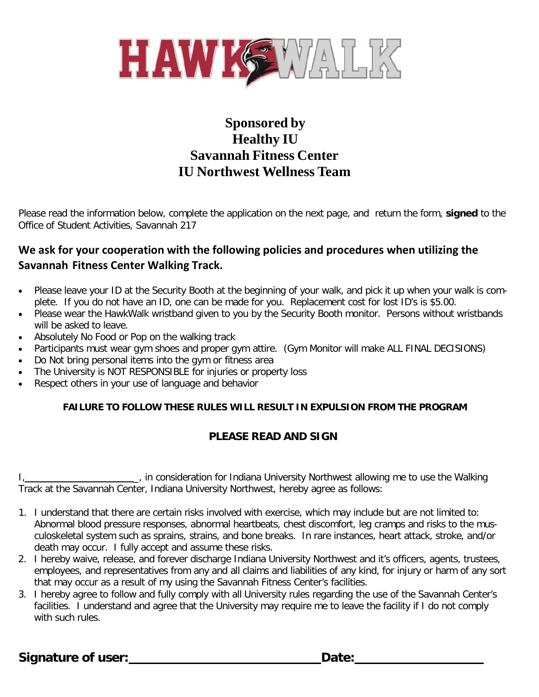

## **Sponsored by Healthy IU Savannah Fitness Center IU Northwest Wellness Team**

Please read the information below, complete the application on the next page, and return the form, **signed** to the Office of Student Activities, Savannah 217

### **We ask for your cooperation with the following policies and procedures when utilizing the Savannah Fitness Center Walking Track.**

- Please leave your ID at the Security Booth at the beginning of your walk, and pick it up when your walk is complete. If you do not have an ID, one can be made for you. Replacement cost for lost ID's is \$5.00.
- Please wear the HawkWalk wristband given to you by the Security Booth monitor. Persons without wristbands will be asked to leave.
- Absolutely No Food or Pop on the walking track
- Participants must wear gym shoes and proper gym attire. (Gym Monitor will make ALL FINAL DECISIONS)
- Do Not bring personal items into the gym or fitness area
- The University is NOT RESPONSIBLE for injuries or property loss
- Respect others in your use of language and behavior

### **FAILURE TO FOLLOW THESE RULES WILL RESULT IN EXPULSION FROM THE PROGRAM**

### **PLEASE READ AND SIGN**

I, in consideration for Indiana University Northwest allowing me to use the Walking Track at the Savannah Center, Indiana University Northwest, hereby agree as follows:

- 1. I understand that there are certain risks involved with exercise, which may include but are not limited to: Abnormal blood pressure responses, abnormal heartbeats, chest discomfort, leg cramps and risks to the musculoskeletal system such as sprains, strains, and bone breaks. In rare instances, heart attack, stroke, and/or death may occur. I fully accept and assume these risks.
- 2. I hereby waive, release, and forever discharge Indiana University Northwest and it's officers, agents, trustees, employees, and representatives from any and all claims and liabilities of any kind, for injury or harm of any sort that may occur as a result of my using the Savannah Fitness Center's facilities.
- 3. I hereby agree to follow and fully comply with all University rules regarding the use of the Savannah Center's facilities. I understand and agree that the University may require me to leave the facility if I do not comply with such rules.

**Signature of user: Date: Date: Date: Date: Date: Date: Date: Date: Date: Date: Date: Date: Date: Date: Date: Date: Date: Date: Date: Date: Date: Date: Date: Date: Date:**